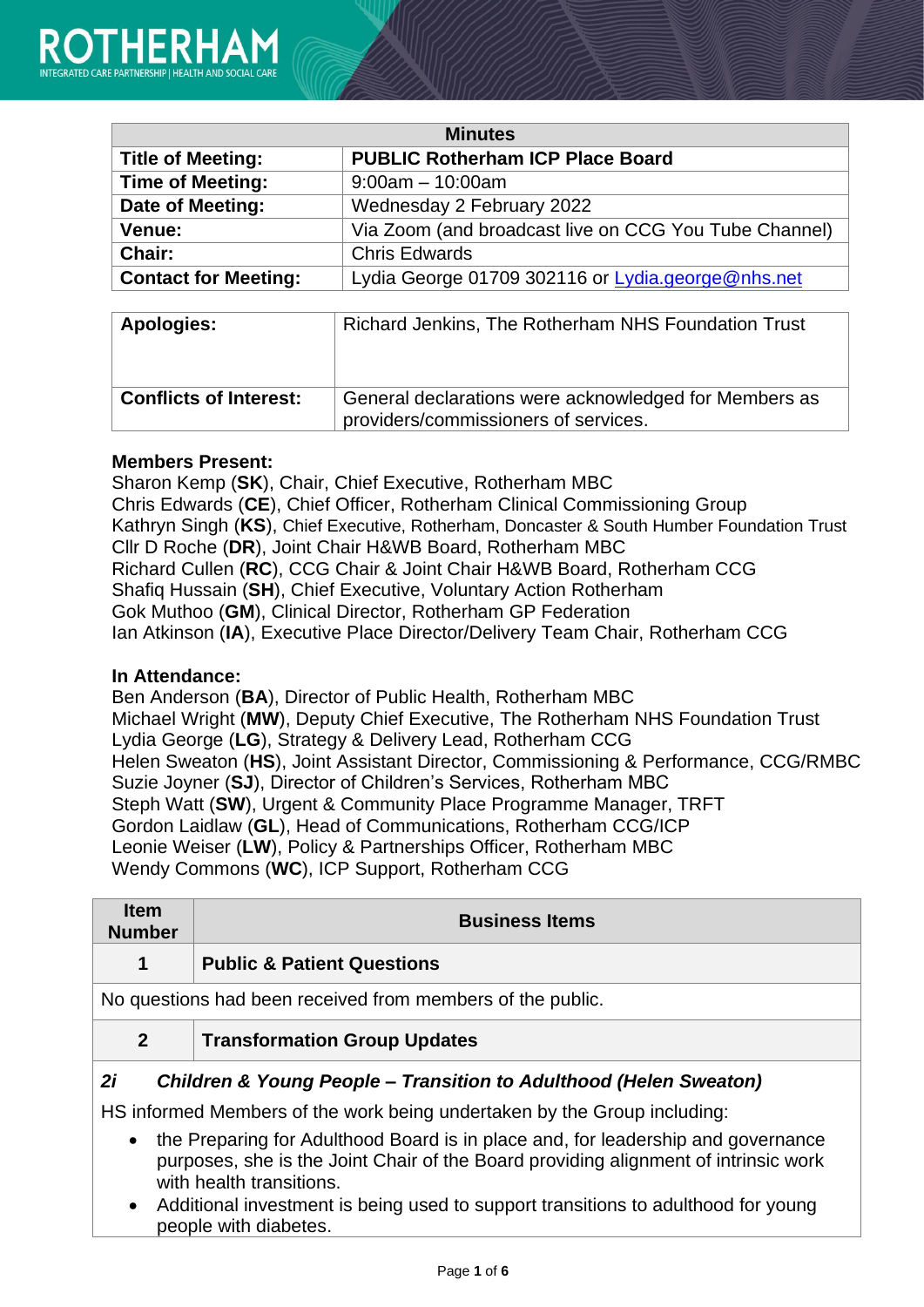| <b>Minutes</b>              |                                                       |
|-----------------------------|-------------------------------------------------------|
| <b>Title of Meeting:</b>    | <b>PUBLIC Rotherham ICP Place Board</b>               |
| <b>Time of Meeting:</b>     | $9:00am - 10:00am$                                    |
| Date of Meeting:            | Wednesday 2 February 2022                             |
| Venue:                      | Via Zoom (and broadcast live on CCG You Tube Channel) |
| Chair:                      | <b>Chris Edwards</b>                                  |
| <b>Contact for Meeting:</b> | Lydia George 01709 302116 or Lydia.george@nhs.net     |

| Apologies:                    | Richard Jenkins, The Rotherham NHS Foundation Trust                                           |
|-------------------------------|-----------------------------------------------------------------------------------------------|
| <b>Conflicts of Interest:</b> | General declarations were acknowledged for Members as<br>providers/commissioners of services. |

## **Members Present:**

Sharon Kemp (**SK**), Chair, Chief Executive, Rotherham MBC Chris Edwards (**CE**), Chief Officer, Rotherham Clinical Commissioning Group Kathryn Singh (**KS**), Chief Executive, Rotherham, Doncaster & South Humber Foundation Trust Cllr D Roche (**DR**), Joint Chair H&WB Board, Rotherham MBC Richard Cullen (**RC**), CCG Chair & Joint Chair H&WB Board, Rotherham CCG Shafiq Hussain (**SH**), Chief Executive, Voluntary Action Rotherham Gok Muthoo (**GM**), Clinical Director, Rotherham GP Federation Ian Atkinson (**IA**), Executive Place Director/Delivery Team Chair, Rotherham CCG

### **In Attendance:**

Ben Anderson (**BA**), Director of Public Health, Rotherham MBC Michael Wright (**MW**), Deputy Chief Executive, The Rotherham NHS Foundation Trust Lydia George (**LG**), Strategy & Delivery Lead, Rotherham CCG Helen Sweaton (**HS**), Joint Assistant Director, Commissioning & Performance, CCG/RMBC Suzie Joyner (**SJ**), Director of Children's Services, Rotherham MBC Steph Watt (**SW**), Urgent & Community Place Programme Manager, TRFT Gordon Laidlaw (**GL**), Head of Communications, Rotherham CCG/ICP Leonie Weiser (**LW**), Policy & Partnerships Officer, Rotherham MBC Wendy Commons (**WC**), ICP Support, Rotherham CCG

| <b>Item</b><br><b>Number</b> | <b>Business Items</b>                                                                                                                                                   |
|------------------------------|-------------------------------------------------------------------------------------------------------------------------------------------------------------------------|
| 1                            | <b>Public &amp; Patient Questions</b>                                                                                                                                   |
|                              | No questions had been received from members of the public.                                                                                                              |
| $\mathbf{2}$                 | <b>Transformation Group Updates</b>                                                                                                                                     |
| 2i                           | <b>Children &amp; Young People – Transition to Adulthood (Helen Sweaton)</b>                                                                                            |
|                              | HS informed Members of the work being undertaken by the Group including:                                                                                                |
| $\bullet$                    | the Preparing for Adulthood Board is in place and, for leadership and governance<br>purposes, sho is the Joint Chair of the Board providing alignment of intrinsic work |

- purposes, she is the Joint Chair of the Board providing alignment of intrinsic work with health transitions. • Additional investment is being used to support transitions to adulthood for young
- people with diabetes.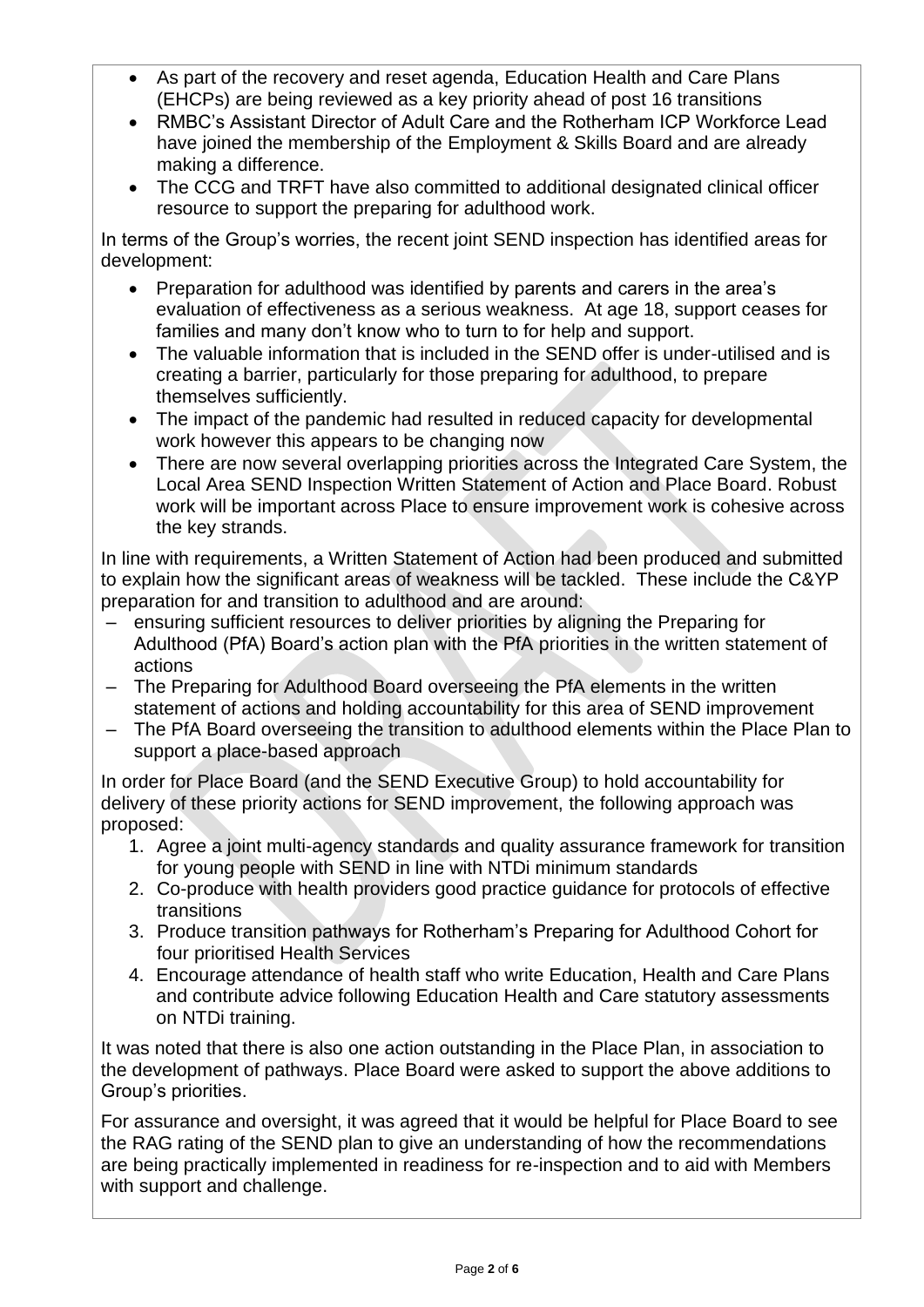- As part of the recovery and reset agenda, Education Health and Care Plans (EHCPs) are being reviewed as a key priority ahead of post 16 transitions
- RMBC's Assistant Director of Adult Care and the Rotherham ICP Workforce Lead have joined the membership of the Employment & Skills Board and are already making a difference.
- The CCG and TRFT have also committed to additional designated clinical officer resource to support the preparing for adulthood work.

In terms of the Group's worries, the recent joint SEND inspection has identified areas for development:

- Preparation for adulthood was identified by parents and carers in the area's evaluation of effectiveness as a serious weakness. At age 18, support ceases for families and many don't know who to turn to for help and support.
- The valuable information that is included in the SEND offer is under-utilised and is creating a barrier, particularly for those preparing for adulthood, to prepare themselves sufficiently.
- The impact of the pandemic had resulted in reduced capacity for developmental work however this appears to be changing now
- There are now several overlapping priorities across the Integrated Care System, the Local Area SEND Inspection Written Statement of Action and Place Board. Robust work will be important across Place to ensure improvement work is cohesive across the key strands.

In line with requirements, a Written Statement of Action had been produced and submitted to explain how the significant areas of weakness will be tackled. These include the C&YP preparation for and transition to adulthood and are around:

- ensuring sufficient resources to deliver priorities by aligning the Preparing for Adulthood (PfA) Board's action plan with the PfA priorities in the written statement of actions
- The Preparing for Adulthood Board overseeing the PfA elements in the written statement of actions and holding accountability for this area of SEND improvement
- The PfA Board overseeing the transition to adulthood elements within the Place Plan to support a place-based approach

In order for Place Board (and the SEND Executive Group) to hold accountability for delivery of these priority actions for SEND improvement, the following approach was proposed:

- 1. Agree a joint multi-agency standards and quality assurance framework for transition for young people with SEND in line with NTDi minimum standards
- 2. Co-produce with health providers good practice guidance for protocols of effective transitions
- 3. Produce transition pathways for Rotherham's Preparing for Adulthood Cohort for four prioritised Health Services
- 4. Encourage attendance of health staff who write Education, Health and Care Plans and contribute advice following Education Health and Care statutory assessments on NTDi training.

It was noted that there is also one action outstanding in the Place Plan, in association to the development of pathways. Place Board were asked to support the above additions to Group's priorities.

For assurance and oversight, it was agreed that it would be helpful for Place Board to see the RAG rating of the SEND plan to give an understanding of how the recommendations are being practically implemented in readiness for re-inspection and to aid with Members with support and challenge.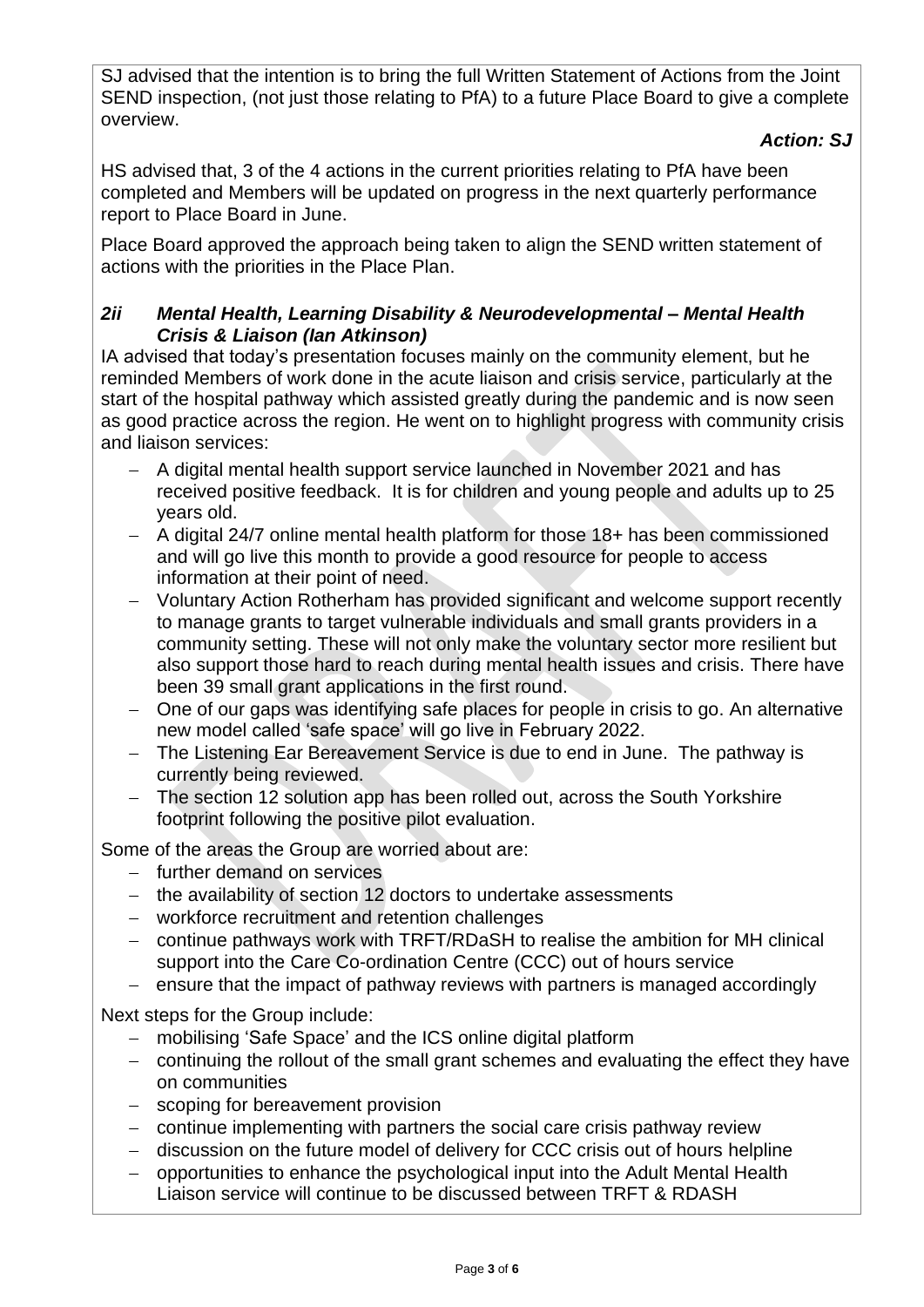SJ advised that the intention is to bring the full Written Statement of Actions from the Joint SEND inspection, (not just those relating to PfA) to a future Place Board to give a complete overview.

# *Action: SJ*

HS advised that, 3 of the 4 actions in the current priorities relating to PfA have been completed and Members will be updated on progress in the next quarterly performance report to Place Board in June.

Place Board approved the approach being taken to align the SEND written statement of actions with the priorities in the Place Plan.

# *2ii Mental Health, Learning Disability & Neurodevelopmental – Mental Health Crisis & Liaison (Ian Atkinson)*

IA advised that today's presentation focuses mainly on the community element, but he reminded Members of work done in the acute liaison and crisis service, particularly at the start of the hospital pathway which assisted greatly during the pandemic and is now seen as good practice across the region. He went on to highlight progress with community crisis and liaison services:

- − A digital mental health support service launched in November 2021 and has received positive feedback. It is for children and young people and adults up to 25 years old.
- − A digital 24/7 online mental health platform for those 18+ has been commissioned and will go live this month to provide a good resource for people to access information at their point of need.
- − Voluntary Action Rotherham has provided significant and welcome support recently to manage grants to target vulnerable individuals and small grants providers in a community setting. These will not only make the voluntary sector more resilient but also support those hard to reach during mental health issues and crisis. There have been 39 small grant applications in the first round.
- − One of our gaps was identifying safe places for people in crisis to go. An alternative new model called 'safe space' will go live in February 2022.
- − The Listening Ear Bereavement Service is due to end in June. The pathway is currently being reviewed.
- − The section 12 solution app has been rolled out, across the South Yorkshire footprint following the positive pilot evaluation.

Some of the areas the Group are worried about are:

- − further demand on services
- − the availability of section 12 doctors to undertake assessments
- − workforce recruitment and retention challenges
- − continue pathways work with TRFT/RDaSH to realise the ambition for MH clinical support into the Care Co-ordination Centre (CCC) out of hours service
- − ensure that the impact of pathway reviews with partners is managed accordingly

Next steps for the Group include:

- − mobilising 'Safe Space' and the ICS online digital platform
- − continuing the rollout of the small grant schemes and evaluating the effect they have on communities
- − scoping for bereavement provision
- − continue implementing with partners the social care crisis pathway review
- − discussion on the future model of delivery for CCC crisis out of hours helpline
- − opportunities to enhance the psychological input into the Adult Mental Health Liaison service will continue to be discussed between TRFT & RDASH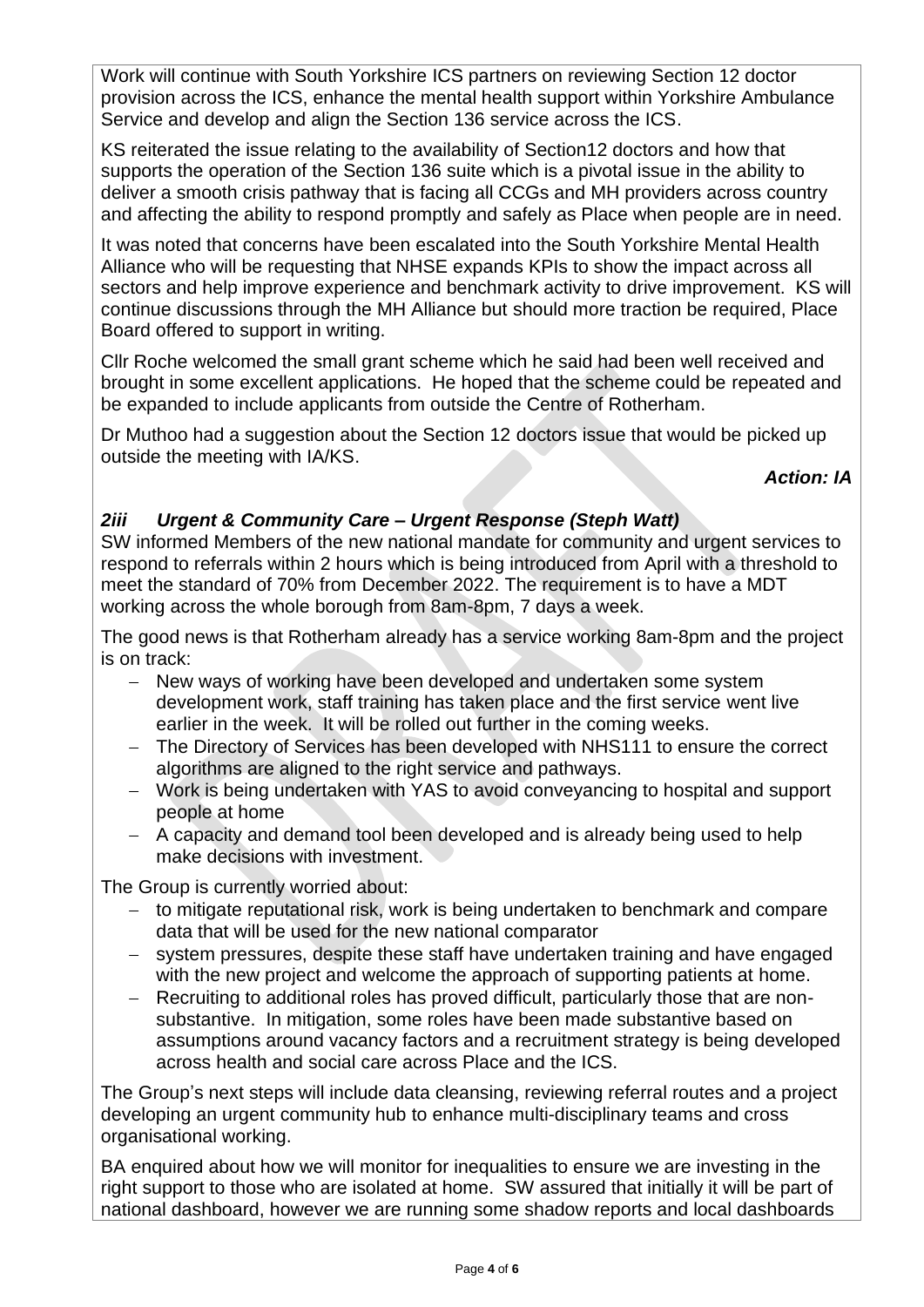Work will continue with South Yorkshire ICS partners on reviewing Section 12 doctor provision across the ICS, enhance the mental health support within Yorkshire Ambulance Service and develop and align the Section 136 service across the ICS.

KS reiterated the issue relating to the availability of Section12 doctors and how that supports the operation of the Section 136 suite which is a pivotal issue in the ability to deliver a smooth crisis pathway that is facing all CCGs and MH providers across country and affecting the ability to respond promptly and safely as Place when people are in need.

It was noted that concerns have been escalated into the South Yorkshire Mental Health Alliance who will be requesting that NHSE expands KPIs to show the impact across all sectors and help improve experience and benchmark activity to drive improvement. KS will continue discussions through the MH Alliance but should more traction be required, Place Board offered to support in writing.

Cllr Roche welcomed the small grant scheme which he said had been well received and brought in some excellent applications. He hoped that the scheme could be repeated and be expanded to include applicants from outside the Centre of Rotherham.

Dr Muthoo had a suggestion about the Section 12 doctors issue that would be picked up outside the meeting with IA/KS.

*Action: IA*

# *2iii Urgent & Community Care – Urgent Response (Steph Watt)*

SW informed Members of the new national mandate for community and urgent services to respond to referrals within 2 hours which is being introduced from April with a threshold to meet the standard of 70% from December 2022. The requirement is to have a MDT working across the whole borough from 8am-8pm, 7 days a week.

The good news is that Rotherham already has a service working 8am-8pm and the project is on track:

- − New ways of working have been developed and undertaken some system development work, staff training has taken place and the first service went live earlier in the week. It will be rolled out further in the coming weeks.
- The Directory of Services has been developed with NHS111 to ensure the correct algorithms are aligned to the right service and pathways.
- − Work is being undertaken with YAS to avoid conveyancing to hospital and support people at home
- − A capacity and demand tool been developed and is already being used to help make decisions with investment.

The Group is currently worried about:

- − to mitigate reputational risk, work is being undertaken to benchmark and compare data that will be used for the new national comparator
- − system pressures, despite these staff have undertaken training and have engaged with the new project and welcome the approach of supporting patients at home.
- − Recruiting to additional roles has proved difficult, particularly those that are nonsubstantive. In mitigation, some roles have been made substantive based on assumptions around vacancy factors and a recruitment strategy is being developed across health and social care across Place and the ICS.

The Group's next steps will include data cleansing, reviewing referral routes and a project developing an urgent community hub to enhance multi-disciplinary teams and cross organisational working.

BA enquired about how we will monitor for inequalities to ensure we are investing in the right support to those who are isolated at home. SW assured that initially it will be part of national dashboard, however we are running some shadow reports and local dashboards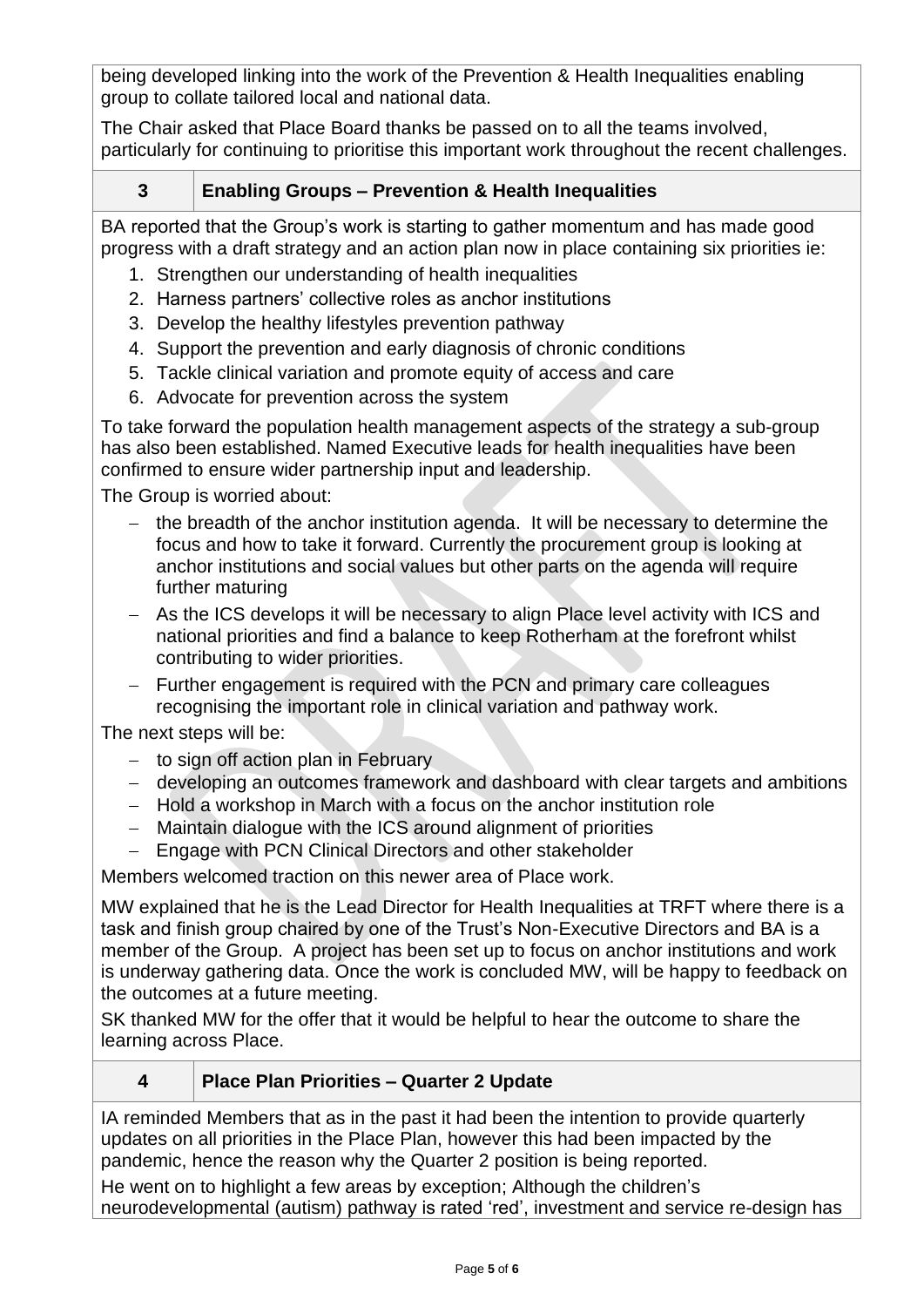being developed linking into the work of the Prevention & Health Inequalities enabling group to collate tailored local and national data.

The Chair asked that Place Board thanks be passed on to all the teams involved, particularly for continuing to prioritise this important work throughout the recent challenges.

# **3 Enabling Groups – Prevention & Health Inequalities**

BA reported that the Group's work is starting to gather momentum and has made good progress with a draft strategy and an action plan now in place containing six priorities ie:

- 1. Strengthen our understanding of health inequalities
- 2. Harness partners' collective roles as anchor institutions
- 3. Develop the healthy lifestyles prevention pathway
- 4. Support the prevention and early diagnosis of chronic conditions
- 5. Tackle clinical variation and promote equity of access and care
- 6. Advocate for prevention across the system

To take forward the population health management aspects of the strategy a sub-group has also been established. Named Executive leads for health inequalities have been confirmed to ensure wider partnership input and leadership.

The Group is worried about:

- − the breadth of the anchor institution agenda. It will be necessary to determine the focus and how to take it forward. Currently the procurement group is looking at anchor institutions and social values but other parts on the agenda will require further maturing
- − As the ICS develops it will be necessary to align Place level activity with ICS and national priorities and find a balance to keep Rotherham at the forefront whilst contributing to wider priorities.
- − Further engagement is required with the PCN and primary care colleagues recognising the important role in clinical variation and pathway work.

The next steps will be:

- − to sign off action plan in February
- − developing an outcomes framework and dashboard with clear targets and ambitions
- − Hold a workshop in March with a focus on the anchor institution role
- − Maintain dialogue with the ICS around alignment of priorities
- − Engage with PCN Clinical Directors and other stakeholder

Members welcomed traction on this newer area of Place work.

MW explained that he is the Lead Director for Health Inequalities at TRFT where there is a task and finish group chaired by one of the Trust's Non-Executive Directors and BA is a member of the Group. A project has been set up to focus on anchor institutions and work is underway gathering data. Once the work is concluded MW, will be happy to feedback on the outcomes at a future meeting.

SK thanked MW for the offer that it would be helpful to hear the outcome to share the learning across Place.

### **4 Place Plan Priorities – Quarter 2 Update**

IA reminded Members that as in the past it had been the intention to provide quarterly updates on all priorities in the Place Plan, however this had been impacted by the pandemic, hence the reason why the Quarter 2 position is being reported.

He went on to highlight a few areas by exception; Although the children's neurodevelopmental (autism) pathway is rated 'red', investment and service re-design has